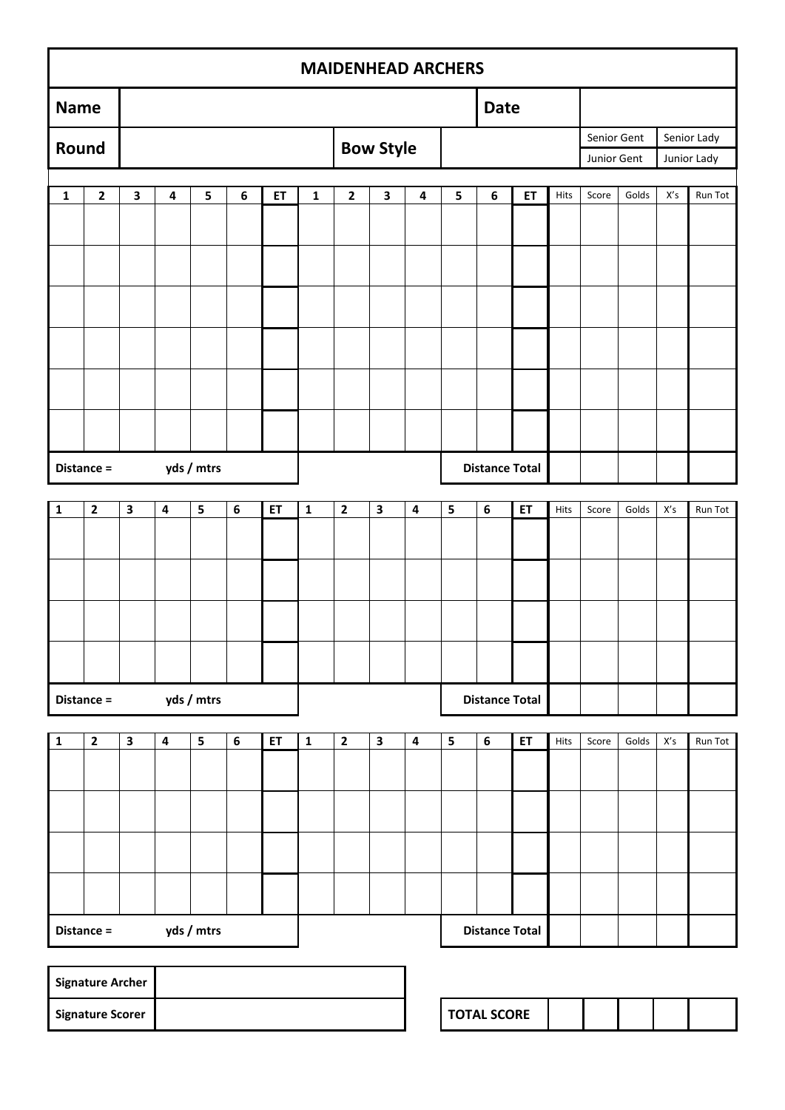|              | <b>MAIDENHEAD ARCHERS</b> |                         |                         |            |                  |    |              |              |                         |                         |                         |                       |    |      |             |       |                         |             |
|--------------|---------------------------|-------------------------|-------------------------|------------|------------------|----|--------------|--------------|-------------------------|-------------------------|-------------------------|-----------------------|----|------|-------------|-------|-------------------------|-------------|
| <b>Name</b>  |                           |                         |                         |            |                  |    |              |              |                         |                         |                         | <b>Date</b>           |    |      |             |       |                         |             |
| Round        |                           |                         |                         |            |                  |    |              |              | <b>Bow Style</b>        |                         |                         |                       |    |      | Senior Gent |       |                         | Senior Lady |
|              |                           |                         |                         |            |                  |    |              |              |                         |                         |                         |                       |    |      | Junior Gent |       |                         | Junior Lady |
| $\mathbf{1}$ | $\mathbf{2}$              | $\mathbf{3}$            | 4                       | 5          | $\boldsymbol{6}$ | ET | $\mathbf{1}$ | $\mathbf{2}$ | $\mathbf{3}$            | 4                       | 5                       | 6                     | ET | Hits | Score       | Golds | $\mathsf{X}'\mathsf{s}$ | Run Tot     |
|              |                           |                         |                         |            |                  |    |              |              |                         |                         |                         |                       |    |      |             |       |                         |             |
|              |                           |                         |                         |            |                  |    |              |              |                         |                         |                         |                       |    |      |             |       |                         |             |
|              |                           |                         |                         |            |                  |    |              |              |                         |                         |                         |                       |    |      |             |       |                         |             |
|              |                           |                         |                         |            |                  |    |              |              |                         |                         |                         |                       |    |      |             |       |                         |             |
|              |                           |                         |                         |            |                  |    |              |              |                         |                         |                         |                       |    |      |             |       |                         |             |
|              |                           |                         |                         |            |                  |    |              |              |                         |                         |                         |                       |    |      |             |       |                         |             |
|              |                           |                         |                         |            |                  |    |              |              |                         |                         |                         |                       |    |      |             |       |                         |             |
|              |                           |                         |                         |            |                  |    |              |              |                         |                         |                         |                       |    |      |             |       |                         |             |
|              |                           |                         |                         |            |                  |    |              |              |                         |                         |                         |                       |    |      |             |       |                         |             |
|              | yds / mtrs<br>Distance =  |                         |                         |            |                  |    |              |              |                         |                         |                         | <b>Distance Total</b> |    |      |             |       |                         |             |
| 1            | $\mathbf{2}$              | $\overline{\mathbf{3}}$ | $\overline{\mathbf{4}}$ | 5          | $\boldsymbol{6}$ | ET | $\mathbf 1$  | $\mathbf{2}$ | $\overline{\mathbf{3}}$ | $\overline{\mathbf{4}}$ | $\overline{\mathbf{5}}$ | $\bf 6$               | ET | Hits | Score       | Golds | $X^\prime$ s            | Run Tot     |
|              |                           |                         |                         |            |                  |    |              |              |                         |                         |                         |                       |    |      |             |       |                         |             |
|              |                           |                         |                         |            |                  |    |              |              |                         |                         |                         |                       |    |      |             |       |                         |             |
|              |                           |                         |                         |            |                  |    |              |              |                         |                         |                         |                       |    |      |             |       |                         |             |
|              |                           |                         |                         |            |                  |    |              |              |                         |                         |                         |                       |    |      |             |       |                         |             |
|              |                           |                         |                         |            |                  |    |              |              |                         |                         |                         |                       |    |      |             |       |                         |             |
|              |                           |                         |                         |            |                  |    |              |              |                         |                         |                         |                       |    |      |             |       |                         |             |
|              | Distance =                |                         |                         | yds / mtrs |                  |    |              |              |                         |                         |                         | <b>Distance Total</b> |    |      |             |       |                         |             |
|              |                           |                         |                         |            |                  |    |              |              |                         |                         |                         |                       |    |      |             |       |                         |             |
| $\mathbf 1$  | $\mathbf{2}$              | $\overline{\mathbf{3}}$ | $\overline{\mathbf{4}}$ | 5          | $\boldsymbol{6}$ | ET | $\mathbf 1$  | $\mathbf{2}$ | $\mathbf{3}$            | $\overline{\mathbf{4}}$ | 5                       | $\boldsymbol{6}$      | ET | Hits | Score       | Golds | $\mathsf{X}'\mathsf{s}$ | Run Tot     |
|              |                           |                         |                         |            |                  |    |              |              |                         |                         |                         |                       |    |      |             |       |                         |             |
|              |                           |                         |                         |            |                  |    |              |              |                         |                         |                         |                       |    |      |             |       |                         |             |
|              |                           |                         |                         |            |                  |    |              |              |                         |                         |                         |                       |    |      |             |       |                         |             |
|              |                           |                         |                         |            |                  |    |              |              |                         |                         |                         |                       |    |      |             |       |                         |             |
|              |                           |                         |                         |            |                  |    |              |              |                         |                         |                         |                       |    |      |             |       |                         |             |
|              |                           |                         |                         |            |                  |    |              |              |                         |                         |                         |                       |    |      |             |       |                         |             |
|              | Distance =                |                         |                         | yds / mtrs |                  |    |              |              |                         |                         |                         | <b>Distance Total</b> |    |      |             |       |                         |             |
|              |                           |                         |                         |            |                  |    |              |              |                         |                         |                         |                       |    |      |             |       |                         |             |

| <b>Signature Archer</b> |  |                    |
|-------------------------|--|--------------------|
| <b>Signature Scorer</b> |  | <b>TOTAL SCORE</b> |

| <b>TOTAL SCORE</b> |  |  |  |  |  |
|--------------------|--|--|--|--|--|
|--------------------|--|--|--|--|--|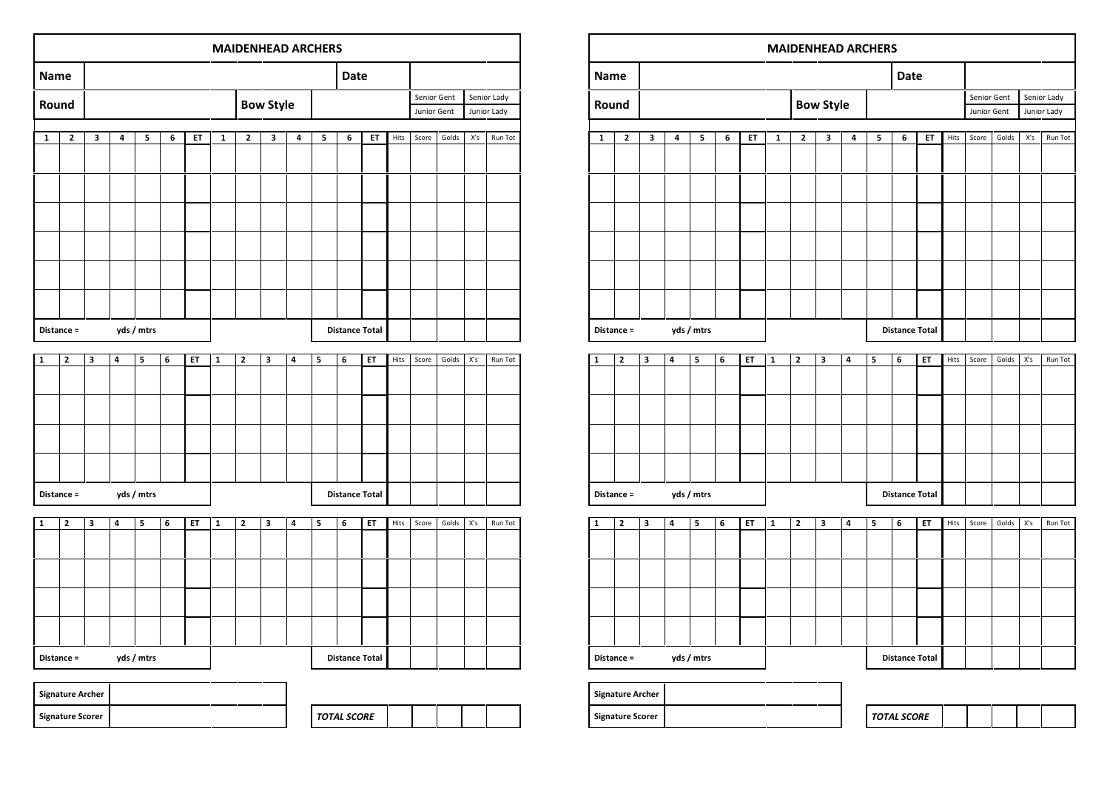| yds / mtrs<br>Distance = |  | <b>Distance Total</b> |  |  |  |
|--------------------------|--|-----------------------|--|--|--|
| <b>Signature Archer</b>  |  |                       |  |  |  |
| <b>Signature Scorer</b>  |  | <b>TOTAL SCORE</b>    |  |  |  |

|              | Distance =     |                         |                         | yds / mtrs |   |    |              |              |                         |   |                          | <b>Distance Total</b> |    |      |       |       |                         |         |
|--------------|----------------|-------------------------|-------------------------|------------|---|----|--------------|--------------|-------------------------|---|--------------------------|-----------------------|----|------|-------|-------|-------------------------|---------|
|              |                |                         |                         |            |   |    |              |              |                         |   |                          |                       |    |      |       |       |                         |         |
| $\mathbf{1}$ | $\overline{2}$ | 3                       | $\overline{4}$          | 5          | 6 | ET | $\mathbf{1}$ | $\mathbf{z}$ | $\overline{\mathbf{3}}$ | 4 | 5                        | 6                     | ET | Hits | Score | Golds | $\mathsf{X}'\mathsf{s}$ | Run Tot |
|              |                |                         |                         |            |   |    |              |              |                         |   |                          |                       |    |      |       |       |                         |         |
|              |                |                         |                         |            |   |    |              |              |                         |   |                          |                       |    |      |       |       |                         |         |
|              |                |                         |                         |            |   |    |              |              |                         |   |                          |                       |    |      |       |       |                         |         |
|              |                |                         |                         |            |   |    |              |              |                         |   |                          |                       |    |      |       |       |                         |         |
|              |                |                         |                         |            |   |    |              |              |                         |   |                          |                       |    |      |       |       |                         |         |
|              |                |                         |                         |            |   |    |              |              |                         |   |                          |                       |    |      |       |       |                         |         |
|              |                |                         |                         |            |   |    |              |              |                         |   |                          |                       |    |      |       |       |                         |         |
|              | Distance =     |                         |                         | yds / mtrs |   |    |              |              |                         |   |                          | <b>Distance Total</b> |    |      |       |       |                         |         |
|              |                |                         |                         |            |   |    |              |              |                         |   |                          |                       |    |      |       |       |                         |         |
| $\mathbf{1}$ | $\mathbf{2}$   | $\overline{\mathbf{3}}$ | $\overline{\mathbf{4}}$ | 5          | 6 | ET | $\mathbf{1}$ | $\mathbf{2}$ | $\overline{\mathbf{3}}$ | 4 | 5                        | 6                     | ET | Hits | Score | Golds | X's                     | Run Tot |
|              |                |                         |                         |            |   |    |              |              |                         |   |                          |                       |    |      |       |       |                         |         |
|              |                |                         |                         |            |   |    |              |              |                         |   |                          |                       |    |      |       |       |                         |         |
|              |                |                         |                         |            |   |    |              |              |                         |   |                          |                       |    |      |       |       |                         |         |
|              |                |                         |                         |            |   |    |              |              |                         |   |                          |                       |    |      |       |       |                         |         |
|              |                |                         |                         |            |   |    |              |              |                         |   |                          |                       |    |      |       |       |                         |         |
|              |                |                         |                         |            |   |    |              |              |                         |   |                          |                       |    |      |       |       |                         |         |
|              |                |                         |                         |            |   |    |              |              |                         |   |                          |                       |    |      |       |       |                         |         |
| .            |                |                         | $\cdots$                |            |   |    |              |              |                         |   | <b>Bank College Card</b> |                       |    |      |       |       |                         |         |

|       | <b>MAIDENHEAD ARCHERS</b> |                  |   |   |   |    |              |              |                       |   |   |      |    |             |       |       |             |         |
|-------|---------------------------|------------------|---|---|---|----|--------------|--------------|-----------------------|---|---|------|----|-------------|-------|-------|-------------|---------|
| Name  |                           |                  |   |   |   |    |              |              |                       |   |   | Date |    |             |       |       |             |         |
| Round |                           |                  |   |   |   |    |              |              |                       |   |   |      |    | Senior Gent |       |       | Senior Lady |         |
|       |                           | <b>Bow Style</b> |   |   |   |    |              |              |                       |   |   |      |    | Junior Gent |       |       | Junior Lady |         |
| 1     | $\mathbf{2}$              | 3                | 4 | 5 | 6 | ET | $\mathbf{1}$ | $\mathbf{z}$ | 3                     | 4 | 5 | 6    | ET | Hits        | Score | Golds | X's         | Run Tot |
|       |                           |                  |   |   |   |    |              |              |                       |   |   |      |    |             |       |       |             |         |
|       |                           |                  |   |   |   |    |              |              |                       |   |   |      |    |             |       |       |             |         |
|       |                           |                  |   |   |   |    |              |              |                       |   |   |      |    |             |       |       |             |         |
|       |                           |                  |   |   |   |    |              |              |                       |   |   |      |    |             |       |       |             |         |
|       |                           |                  |   |   |   |    |              |              |                       |   |   |      |    |             |       |       |             |         |
|       |                           |                  |   |   |   |    |              |              |                       |   |   |      |    |             |       |       |             |         |
|       |                           |                  |   |   |   |    |              |              |                       |   |   |      |    |             |       |       |             |         |
|       |                           |                  |   |   |   |    |              |              |                       |   |   |      |    |             |       |       |             |         |
|       |                           |                  |   |   |   |    |              |              |                       |   |   |      |    |             |       |       |             |         |
|       |                           |                  |   |   |   |    |              |              |                       |   |   |      |    |             |       |       |             |         |
|       | yds / mtrs<br>Distance =  |                  |   |   |   |    |              |              | <b>Distance Total</b> |   |   |      |    |             |       |       |             |         |

| <b>Name</b>  |                     |        |        |                                                  |        |             |                            |                            | Date   |                                    |        |        |                                                            |       |       |                            |             |
|--------------|---------------------|--------|--------|--------------------------------------------------|--------|-------------|----------------------------|----------------------------|--------|------------------------------------|--------|--------|------------------------------------------------------------|-------|-------|----------------------------|-------------|
|              |                     |        |        |                                                  |        |             |                            |                            |        |                                    |        |        |                                                            |       |       |                            | Senior Lady |
|              |                     |        |        |                                                  |        |             |                            |                            |        |                                    |        |        |                                                            |       |       |                            | Junior Lady |
| $\mathbf{2}$ |                     |        |        |                                                  |        |             |                            |                            |        |                                    |        |        | Hits                                                       | Score | Golds | $\mathsf{X}'\mathsf{s}$    | Run Tot     |
|              |                     |        |        |                                                  |        |             |                            |                            |        |                                    |        |        |                                                            |       |       |                            |             |
|              |                     |        |        |                                                  |        |             |                            |                            |        |                                    |        |        |                                                            |       |       |                            |             |
|              |                     |        |        |                                                  |        |             |                            |                            |        |                                    |        |        |                                                            |       |       |                            |             |
|              |                     |        |        |                                                  |        |             |                            |                            |        |                                    |        |        |                                                            |       |       |                            |             |
|              |                     |        |        |                                                  |        |             |                            |                            |        |                                    |        |        |                                                            |       |       |                            |             |
|              |                     |        |        |                                                  |        |             |                            |                            |        |                                    |        |        |                                                            |       |       |                            |             |
|              |                     |        |        |                                                  |        |             |                            |                            |        |                                    |        |        |                                                            |       |       |                            |             |
|              |                     |        |        |                                                  |        |             |                            |                            |        |                                    |        |        |                                                            |       |       |                            |             |
|              |                     |        |        |                                                  |        |             |                            |                            |        |                                    |        |        |                                                            |       |       |                            |             |
|              |                     |        |        |                                                  |        |             |                            |                            |        |                                    |        |        |                                                            |       |       |                            |             |
|              |                     |        |        |                                                  |        |             |                            |                            |        |                                    |        |        |                                                            |       |       |                            |             |
|              |                     |        |        |                                                  |        |             |                            |                            |        |                                    |        |        |                                                            |       |       |                            |             |
| $\mathbf 2$  |                     |        |        |                                                  |        |             |                            |                            |        |                                    |        |        | Hits                                                       | Score | Golds |                            | Run Tot     |
|              |                     |        |        |                                                  |        |             |                            |                            |        |                                    |        |        |                                                            |       |       |                            |             |
|              |                     |        |        |                                                  |        |             |                            |                            |        |                                    |        |        |                                                            |       |       |                            |             |
|              |                     |        |        |                                                  |        |             |                            |                            |        |                                    |        |        |                                                            |       |       |                            |             |
|              |                     |        |        |                                                  |        |             |                            |                            |        |                                    |        |        |                                                            |       |       |                            |             |
|              |                     |        |        |                                                  |        |             |                            |                            |        |                                    |        |        |                                                            |       |       |                            |             |
|              |                     |        |        |                                                  |        |             |                            |                            |        |                                    |        |        |                                                            |       |       |                            |             |
|              |                     |        |        |                                                  |        |             |                            |                            |        |                                    |        |        |                                                            |       |       |                            |             |
| Distance =   |                     |        |        |                                                  |        |             |                            |                            |        | <b>Distance Total</b>              |        |        |                                                            |       |       |                            |             |
|              |                     |        |        |                                                  |        |             |                            |                            |        |                                    |        |        |                                                            |       |       |                            |             |
| $\mathbf 2$  | 3                   | 4      | 5      | 6                                                | ET     | $\mathbf 1$ | $\mathbf 2$                | 3                          | 4      | 5                                  | 6      | ET     | Hits                                                       | Score | Golds | $\mathsf{X}'\mathsf{s}$    | Run Tot     |
|              |                     |        |        |                                                  |        |             |                            |                            |        |                                    |        |        |                                                            |       |       |                            |             |
|              |                     |        |        |                                                  |        |             |                            |                            |        |                                    |        |        |                                                            |       |       |                            |             |
|              |                     |        |        |                                                  |        |             |                            |                            |        |                                    |        |        |                                                            |       |       |                            |             |
|              |                     |        |        |                                                  |        |             |                            |                            |        |                                    |        |        |                                                            |       |       |                            |             |
|              |                     |        |        |                                                  |        |             |                            |                            |        |                                    |        |        |                                                            |       |       |                            |             |
|              |                     |        |        |                                                  |        |             |                            |                            |        |                                    |        |        |                                                            |       |       |                            |             |
|              |                     |        |        |                                                  |        |             |                            |                            |        |                                    |        |        |                                                            |       |       |                            |             |
| Distance =   |                     |        |        |                                                  |        |             |                            |                            |        |                                    |        |        |                                                            |       |       |                            |             |
|              | Round<br>Distance = | 3<br>3 | 4<br>4 | 5<br>yds / mtrs<br>5<br>yds / mtrs<br>yds / mtrs | 6<br>6 | ET<br>ET    | $\mathbf 1$<br>$\mathbf 1$ | $\mathbf 2$<br>$\mathbf 2$ | 3<br>3 | <b>Bow Style</b><br>$\pmb{4}$<br>4 | 5<br>5 | 6<br>6 | ET<br><b>Distance Total</b><br>ET<br><b>Distance Total</b> |       |       | Senior Gent<br>Junior Gent | X's         |

**MAIDENHEAD ARCHERS**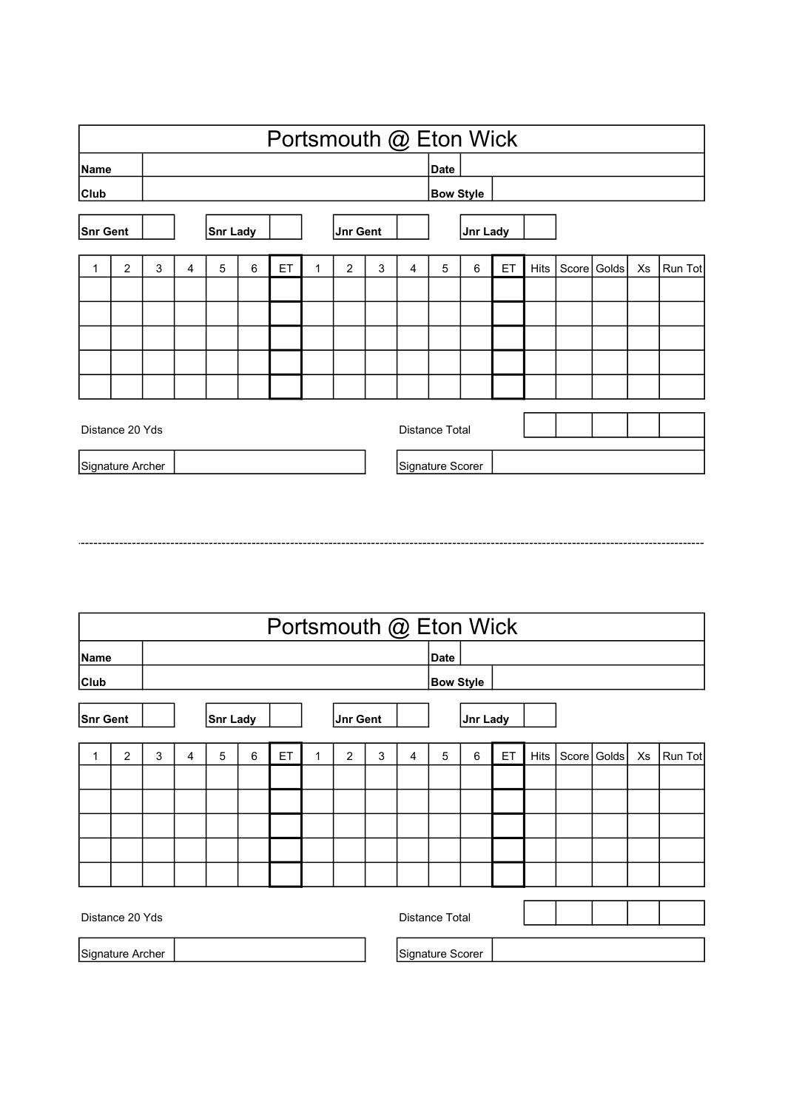|                 |                                      |   |   |                 |   | Portsmouth @ Eton Wick |   |                 |   |                |                       |                 |    |      |               |    |         |
|-----------------|--------------------------------------|---|---|-----------------|---|------------------------|---|-----------------|---|----------------|-----------------------|-----------------|----|------|---------------|----|---------|
| <b>Name</b>     |                                      |   |   |                 |   |                        |   |                 |   |                | Date                  |                 |    |      |               |    |         |
| Club            |                                      |   |   |                 |   |                        |   |                 |   |                | <b>Bow Style</b>      |                 |    |      |               |    |         |
| <b>Snr Gent</b> |                                      |   |   | <b>Snr Lady</b> |   |                        |   | <b>Jnr Gent</b> |   |                |                       | <b>Jnr Lady</b> |    |      |               |    |         |
| 1               | $\overline{2}$                       | 3 | 4 | 5               | 6 | ET                     | 1 | $\overline{2}$  | 3 | $\overline{4}$ | 5                     | 6               | ET | Hits | Score   Golds | Xs | Run Tot |
|                 |                                      |   |   |                 |   |                        |   |                 |   |                |                       |                 |    |      |               |    |         |
|                 |                                      |   |   |                 |   |                        |   |                 |   |                |                       |                 |    |      |               |    |         |
|                 |                                      |   |   |                 |   |                        |   |                 |   |                |                       |                 |    |      |               |    |         |
|                 |                                      |   |   |                 |   |                        |   |                 |   |                |                       |                 |    |      |               |    |         |
|                 |                                      |   |   |                 |   |                        |   |                 |   |                |                       |                 |    |      |               |    |         |
|                 | Distance 20 Yds                      |   |   |                 |   |                        |   |                 |   |                | <b>Distance Total</b> |                 |    |      |               |    |         |
|                 | Signature Archer<br>Signature Scorer |   |   |                 |   |                        |   |                 |   |                |                       |                 |    |      |               |    |         |

|                 |                  |   |   |                 |   |    |   |                 |   |   | Portsmouth @ Eton Wick |                 |    |      |       |       |    |         |
|-----------------|------------------|---|---|-----------------|---|----|---|-----------------|---|---|------------------------|-----------------|----|------|-------|-------|----|---------|
| Name            |                  |   |   |                 |   |    |   |                 |   |   | Date                   |                 |    |      |       |       |    |         |
| <b>Club</b>     |                  |   |   |                 |   |    |   |                 |   |   | <b>Bow Style</b>       |                 |    |      |       |       |    |         |
| <b>Snr Gent</b> |                  |   |   | <b>Snr Lady</b> |   |    |   | <b>Jnr Gent</b> |   |   |                        | <b>Jnr Lady</b> |    |      |       |       |    |         |
| 1               | $\overline{2}$   | 3 | 4 | 5               | 6 | ET | 1 | $\overline{c}$  | 3 | 4 | 5                      | 6               | ET | Hits | Score | Golds | Xs | Run Tot |
|                 |                  |   |   |                 |   |    |   |                 |   |   |                        |                 |    |      |       |       |    |         |
|                 |                  |   |   |                 |   |    |   |                 |   |   |                        |                 |    |      |       |       |    |         |
|                 |                  |   |   |                 |   |    |   |                 |   |   |                        |                 |    |      |       |       |    |         |
|                 |                  |   |   |                 |   |    |   |                 |   |   |                        |                 |    |      |       |       |    |         |
|                 |                  |   |   |                 |   |    |   |                 |   |   |                        |                 |    |      |       |       |    |         |
|                 |                  |   |   |                 |   |    |   |                 |   |   |                        |                 |    |      |       |       |    |         |
|                 | Distance 20 Yds  |   |   |                 |   |    |   |                 |   |   | <b>Distance Total</b>  |                 |    |      |       |       |    |         |
|                 | Signature Archer |   |   |                 |   |    |   |                 |   |   | Signature Scorer       |                 |    |      |       |       |    |         |